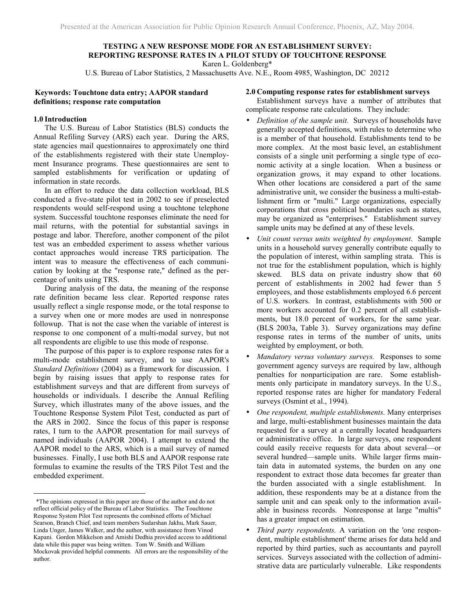# **TESTING A NEW RESPONSE MODE FOR AN ESTABLISHMENT SURVEY: REPORTING RESPONSE RATES IN A PILOT STUDY OF TOUCHTONE RESPONSE**  Karen L. Goldenberg\*

U.S. Bureau of Labor Statistics, 2 Massachusetts Ave. N.E., Room 4985, Washington, DC 20212

# **Keywords: Touchtone data entry; AAPOR standard definitions; response rate computation**

## **1.0 Introduction**

l

 The U.S. Bureau of Labor Statistics (BLS) conducts the Annual Refiling Survey (ARS) each year. During the ARS, state agencies mail questionnaires to approximately one third of the establishments registered with their state Unemployment Insurance programs. These questionnaires are sent to sampled establishments for verification or updating of information in state records.

 In an effort to reduce the data collection workload, BLS conducted a five-state pilot test in 2002 to see if preselected respondents would self-respond using a touchtone telephone system. Successful touchtone responses eliminate the need for mail returns, with the potential for substantial savings in postage and labor. Therefore, another component of the pilot test was an embedded experiment to assess whether various contact approaches would increase TRS participation. The intent was to measure the effectiveness of each communication by looking at the "response rate," defined as the percentage of units using TRS.

 During analysis of the data, the meaning of the response rate definition became less clear. Reported response rates usually reflect a single response mode, or the total response to a survey when one or more modes are used in nonresponse followup. That is not the case when the variable of interest is response to one component of a multi-modal survey, but not all respondents are eligible to use this mode of response.

 The purpose of this paper is to explore response rates for a multi-mode establishment survey, and to use AAPOR's *Standard Definitions* (2004) as a framework for discussion. I begin by raising issues that apply to response rates for establishment surveys and that are different from surveys of households or individuals. I describe the Annual Refiling Survey, which illustrates many of the above issues, and the Touchtone Response System Pilot Test, conducted as part of the ARS in 2002. Since the focus of this paper is response rates, I turn to the AAPOR presentation for mail surveys of named individuals (AAPOR 2004). I attempt to extend the AAPOR model to the ARS, which is a mail survey of named businesses. Finally, I use both BLS and AAPOR response rate formulas to examine the results of the TRS Pilot Test and the embedded experiment.

#### **2.0 Computing response rates for establishment surveys**

 Establishment surveys have a number of attributes that complicate response rate calculations. They include:

- *Definition of the sample unit.* Surveys of households have generally accepted definitions, with rules to determine who is a member of that household. Establishments tend to be more complex. At the most basic level, an establishment consists of a single unit performing a single type of economic activity at a single location. When a business or organization grows, it may expand to other locations. When other locations are considered a part of the same administrative unit, we consider the business a multi-establishment firm or "multi." Large organizations, especially corporations that cross political boundaries such as states, may be organized as "enterprises." Establishment survey sample units may be defined at any of these levels.
- *Unit count versus units weighted by employment*. Sample units in a household survey generally contribute equally to the population of interest, within sampling strata. This is not true for the establishment population, which is highly skewed. BLS data on private industry show that 60 percent of establishments in 2002 had fewer than 5 employees, and those establishments employed 6.6 percent of U.S. workers. In contrast, establishments with 500 or more workers accounted for 0.2 percent of all establishments, but 18.0 percent of workers, for the same year. (BLS 2003a, Table 3). Survey organizations may define response rates in terms of the number of units, units weighted by employment, or both.
- *Mandatory versus voluntary surveys.* Responses to some government agency surveys are required by law, although penalties for nonparticipation are rare. Some establishments only participate in mandatory surveys. In the U.S., reported response rates are higher for mandatory Federal surveys (Osmint et al., 1994).
- *One respondent, multiple establishments.* Many enterprises and large, multi-establishment businesses maintain the data requested for a survey at a centrally located headquarters or administrative office. In large surveys, one respondent could easily receive requests for data about several—or several hundred—sample units. While larger firms maintain data in automated systems, the burden on any one respondent to extract those data becomes far greater than the burden associated with a single establishment. In addition, these respondents may be at a distance from the sample unit and can speak only to the information available in business records. Nonresponse at large "multis" has a greater impact on estimation.
- *Third party respondents.* A variation on the 'one respondent, multiple establishment' theme arises for data held and reported by third parties, such as accountants and payroll services. Surveys associated with the collection of administrative data are particularly vulnerable. Like respondents

 <sup>\*</sup>The opinions expressed in this paper are those of the author and do not reflect official policy of the Bureau of Labor Statistics. The Touchtone Response System Pilot Test represents the combined efforts of Michael Searson, Branch Chief, and team members Sudarshan Jakhu, Mark Sauer, Linda Unger, James Walker, and the author, with assistance from Vinod Kapani. Gordon Mikkelson and Amishi Dedhia provided access to additional data while this paper was being written. Tom W. Smith and William Mockovak provided helpful comments. All errors are the responsibility of the author.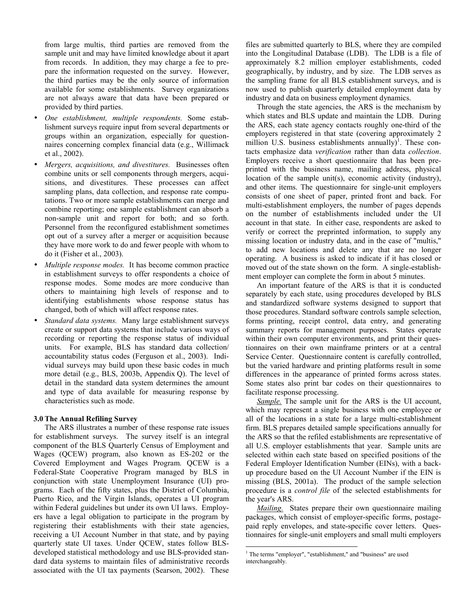from large multis, third parties are removed from the sample unit and may have limited knowledge about it apart from records. In addition, they may charge a fee to prepare the information requested on the survey. However, the third parties may be the only source of information available for some establishments. Survey organizations are not always aware that data have been prepared or provided by third parties.

- *One establishment, multiple respondents.* Some establishment surveys require input from several departments or groups within an organization, especially for questionnaires concerning complex financial data (e.g., Willimack et al., 2002).
- *Mergers, acquisitions, and divestitures.* Businesses often combine units or sell components through mergers, acquisitions, and divestitures. These processes can affect sampling plans, data collection, and response rate computations. Two or more sample establishments can merge and combine reporting; one sample establishment can absorb a non-sample unit and report for both; and so forth. Personnel from the reconfigured establishment sometimes opt out of a survey after a merger or acquisition because they have more work to do and fewer people with whom to do it (Fisher et al., 2003).
- *Multiple response modes.* It has become common practice in establishment surveys to offer respondents a choice of response modes. Some modes are more conducive than others to maintaining high levels of response and to identifying establishments whose response status has changed, both of which will affect response rates.
- *Standard data systems.* Many large establishment surveys create or support data systems that include various ways of recording or reporting the response status of individual units. For example, BLS has standard data collection/ accountability status codes (Ferguson et al., 2003). Individual surveys may build upon these basic codes in much more detail (e.g., BLS, 2003b, Appendix Q). The level of detail in the standard data system determines the amount and type of data available for measuring response by characteristics such as mode.

## **3.0 The Annual Refiling Survey**

 The ARS illustrates a number of these response rate issues for establishment surveys. The survey itself is an integral component of the BLS Quarterly Census of Employment and Wages (QCEW) program, also known as ES-202 or the Covered Employment and Wages Program. QCEW is a Federal-State Cooperative Program managed by BLS in conjunction with state Unemployment Insurance (UI) programs. Each of the fifty states, plus the District of Columbia, Puerto Rico, and the Virgin Islands, operates a UI program within Federal guidelines but under its own UI laws. Employers have a legal obligation to participate in the program by registering their establishments with their state agencies, receiving a UI Account Number in that state, and by paying quarterly state UI taxes. Under QCEW, states follow BLSdeveloped statistical methodology and use BLS-provided standard data systems to maintain files of administrative records associated with the UI tax payments (Searson, 2002). These

files are submitted quarterly to BLS, where they are compiled into the Longitudinal Database (LDB). The LDB is a file of approximately 8.2 million employer establishments, coded geographically, by industry, and by size. The LDB serves as the sampling frame for all BLS establishment surveys, and is now used to publish quarterly detailed employment data by industry and data on business employment dynamics.

 Through the state agencies, the ARS is the mechanism by which states and BLS update and maintain the LDB. During the ARS, each state agency contacts roughly one-third of the employers registered in that state (covering approximately 2 million U.S. business establishments annually)<sup>1</sup>. These contacts emphasize data *verification* rather than data *collection*. Employers receive a short questionnaire that has been preprinted with the business name, mailing address, physical location of the sample unit(s), economic activity (industry), and other items. The questionnaire for single-unit employers consists of one sheet of paper, printed front and back. For multi-establishment employers, the number of pages depends on the number of establishments included under the UI account in that state. In either case, respondents are asked to verify or correct the preprinted information, to supply any missing location or industry data, and in the case of "multis," to add new locations and delete any that are no longer operating. A business is asked to indicate if it has closed or moved out of the state shown on the form. A single-establishment employer can complete the form in about 5 minutes.

 An important feature of the ARS is that it is conducted separately by each state, using procedures developed by BLS and standardized software systems designed to support that those procedures. Standard software controls sample selection, forms printing, receipt control, data entry, and generating summary reports for management purposes. States operate within their own computer environments, and print their questionnaires on their own mainframe printers or at a central Service Center. Questionnaire content is carefully controlled, but the varied hardware and printing platforms result in some differences in the appearance of printed forms across states. Some states also print bar codes on their questionnaires to facilitate response processing.

*Sample.* The sample unit for the ARS is the UI account, which may represent a single business with one employee or all of the locations in a state for a large multi-establishment firm. BLS prepares detailed sample specifications annually for the ARS so that the refiled establishments are representative of all U.S. employer establishments that year. Sample units are selected within each state based on specified positions of the Federal Employer Identification Number (EINs), with a backup procedure based on the UI Account Number if the EIN is missing (BLS, 2001a). The product of the sample selection procedure is a *control file* of the selected establishments for the year's ARS.

*Mailing.* States prepare their own questionnaire mailing packages, which consist of employer-specific forms, postagepaid reply envelopes, and state-specific cover letters. Questionnaires for single-unit employers and small multi employers

 $\overline{a}$ 

<sup>&</sup>lt;sup>1</sup> The terms "employer", "establishment," and "business" are used interchangeably.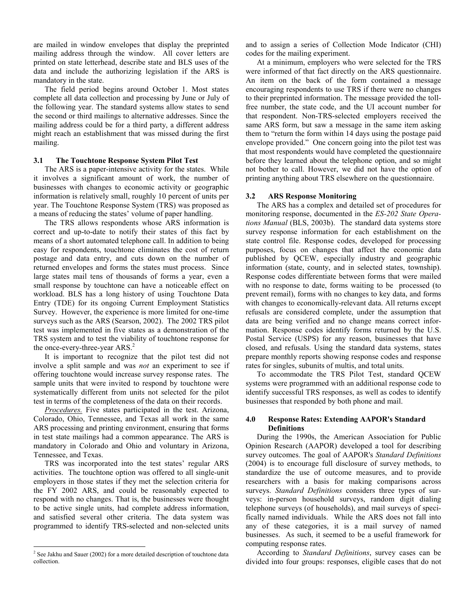are mailed in window envelopes that display the preprinted mailing address through the window. All cover letters are printed on state letterhead, describe state and BLS uses of the data and include the authorizing legislation if the ARS is mandatory in the state.

 The field period begins around October 1. Most states complete all data collection and processing by June or July of the following year. The standard systems allow states to send the second or third mailings to alternative addresses. Since the mailing address could be for a third party, a different address might reach an establishment that was missed during the first mailing.

## **3.1 The Touchtone Response System Pilot Test**

 The ARS is a paper-intensive activity for the states. While it involves a significant amount of work, the number of businesses with changes to economic activity or geographic information is relatively small, roughly 10 percent of units per year. The Touchtone Response System (TRS) was proposed as a means of reducing the states' volume of paper handling.

 The TRS allows respondents whose ARS information is correct and up-to-date to notify their states of this fact by means of a short automated telephone call. In addition to being easy for respondents, touchtone eliminates the cost of return postage and data entry, and cuts down on the number of returned envelopes and forms the states must process. Since large states mail tens of thousands of forms a year, even a small response by touchtone can have a noticeable effect on workload. BLS has a long history of using Touchtone Data Entry (TDE) for its ongoing Current Employment Statistics Survey. However, the experience is more limited for one-time surveys such as the ARS (Searson, 2002). The 2002 TRS pilot test was implemented in five states as a demonstration of the TRS system and to test the viability of touchtone response for the once-every-three-year ARS.<sup>2</sup>

 It is important to recognize that the pilot test did not involve a split sample and was *not* an experiment to see if offering touchtone would increase survey response rates. The sample units that were invited to respond by touchtone were systematically different from units not selected for the pilot test in terms of the completeness of the data on their records.

*Procedures.* Five states participated in the test. Arizona, Colorado, Ohio, Tennessee, and Texas all work in the same ARS processing and printing environment, ensuring that forms in test state mailings had a common appearance. The ARS is mandatory in Colorado and Ohio and voluntary in Arizona, Tennessee, and Texas.

 TRS was incorporated into the test states' regular ARS activities. The touchtone option was offered to all single-unit employers in those states if they met the selection criteria for the FY 2002 ARS, and could be reasonably expected to respond with no changes. That is, the businesses were thought to be active single units, had complete address information, and satisfied several other criteria. The data system was programmed to identify TRS-selected and non-selected units

and to assign a series of Collection Mode Indicator (CHI) codes for the mailing experiment.

 At a minimum, employers who were selected for the TRS were informed of that fact directly on the ARS questionnaire. An item on the back of the form contained a message encouraging respondents to use TRS if there were no changes to their preprinted information. The message provided the tollfree number, the state code, and the UI account number for that respondent. Non-TRS-selected employers received the same ARS form, but saw a message in the same item asking them to "return the form within 14 days using the postage paid envelope provided." One concern going into the pilot test was that most respondents would have completed the questionnaire before they learned about the telephone option, and so might not bother to call. However, we did not have the option of printing anything about TRS elsewhere on the questionnaire.

#### **3.2 ARS Response Monitoring**

 The ARS has a complex and detailed set of procedures for monitoring response, documented in the *ES-202 State Operations Manual* (BLS, 2003b). The standard data systems store survey response information for each establishment on the state control file. Response codes, developed for processing purposes, focus on changes that affect the economic data published by QCEW, especially industry and geographic information (state, county, and in selected states, township). Response codes differentiate between forms that were mailed with no response to date, forms waiting to be processed (to prevent remail), forms with no changes to key data, and forms with changes to economically-relevant data. All returns except refusals are considered complete, under the assumption that data are being verified and no change means correct information. Response codes identify forms returned by the U.S. Postal Service (USPS) for any reason, businesses that have closed, and refusals. Using the standard data systems, states prepare monthly reports showing response codes and response rates for singles, subunits of multis, and total units.

 To accommodate the TRS Pilot Test, standard QCEW systems were programmed with an additional response code to identify successful TRS responses, as well as codes to identify businesses that responded by both phone and mail.

## **4.0 Response Rates: Extending AAPOR's Standard Definitions**

 During the 1990s, the American Association for Public Opinion Research (AAPOR) developed a tool for describing survey outcomes. The goal of AAPOR's *Standard Definitions*  (2004) is to encourage full disclosure of survey methods, to standardize the use of outcome measures, and to provide researchers with a basis for making comparisons across surveys. *Standard Definitions* considers three types of surveys: in-person household surveys, random digit dialing telephone surveys (of households), and mail surveys of specifically named individuals. While the ARS does not fall into any of these categories, it is a mail survey of named businesses. As such, it seemed to be a useful framework for computing response rates.

 According to *Standard Definitions*, survey cases can be divided into four groups: responses, eligible cases that do not

<sup>&</sup>lt;sup>2</sup> See Jakhu and Sauer (2002) for a more detailed description of touchtone data collection.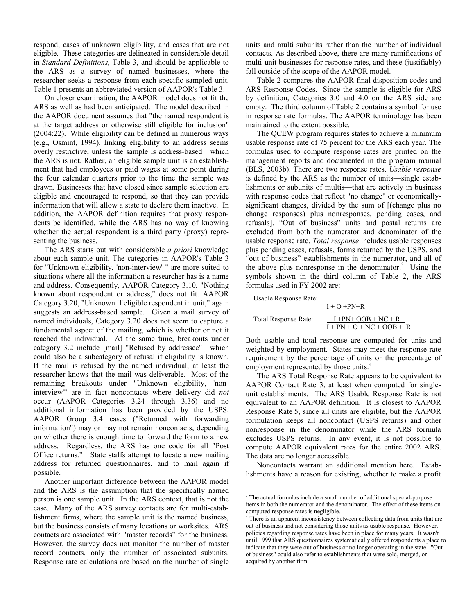respond, cases of unknown eligibility, and cases that are not eligible. These categories are delineated in considerable detail in *Standard Definitions*, Table 3, and should be applicable to the ARS as a survey of named businesses, where the researcher seeks a response from each specific sampled unit. Table 1 presents an abbreviated version of AAPOR's Table 3.

 On closer examination, the AAPOR model does not fit the ARS as well as had been anticipated. The model described in the AAPOR document assumes that "the named respondent is at the target address or otherwise still eligible for inclusion" (2004:22). While eligibility can be defined in numerous ways (e.g., Osmint, 1994), linking eligibility to an address seems overly restrictive, unless the sample is address-based—which the ARS is not. Rather, an eligible sample unit is an establishment that had employees or paid wages at some point during the four calendar quarters prior to the time the sample was drawn. Businesses that have closed since sample selection are eligible and encouraged to respond, so that they can provide information that will allow a state to declare them inactive. In addition, the AAPOR definition requires that proxy respondents be identified, while the ARS has no way of knowing whether the actual respondent is a third party (proxy) representing the business.

 The ARS starts out with considerable *a priori* knowledge about each sample unit. The categories in AAPOR's Table 3 for "Unknown eligibility, 'non-interview' " are more suited to situations where all the information a researcher has is a name and address. Consequently, AAPOR Category 3.10, "Nothing known about respondent or address," does not fit. AAPOR Category 3.20, "Unknown if eligible respondent in unit," again suggests an address-based sample. Given a mail survey of named individuals, Category 3.20 does not seem to capture a fundamental aspect of the mailing, which is whether or not it reached the individual. At the same time, breakouts under category 3.2 include [mail] "Refused by addressee"—which could also be a subcategory of refusal if eligibility is known. If the mail is refused by the named individual, at least the researcher knows that the mail was deliverable. Most of the remaining breakouts under "Unknown eligibility, 'noninterview'" are in fact noncontacts where delivery did *not* occur (AAPOR Categories 3.24 through 3.36) and no additional information has been provided by the USPS. AAPOR Group 3.4 cases ("Returned with forwarding information") may or may not remain noncontacts, depending on whether there is enough time to forward the form to a new address. Regardless, the ARS has one code for all "Post Office returns." State staffs attempt to locate a new mailing address for returned questionnaires, and to mail again if possible.

 Another important difference between the AAPOR model and the ARS is the assumption that the specifically named person is one sample unit. In the ARS context, that is not the case. Many of the ARS survey contacts are for multi-establishment firms, where the sample unit is the named business, but the business consists of many locations or worksites. ARS contacts are associated with "master records" for the business. However, the survey does not monitor the number of master record contacts, only the number of associated subunits. Response rate calculations are based on the number of single

units and multi subunits rather than the number of individual contacts. As described above, there are many ramifications of multi-unit businesses for response rates, and these (justifiably) fall outside of the scope of the AAPOR model.

 Table 2 compares the AAPOR final disposition codes and ARS Response Codes. Since the sample is eligible for ARS by definition, Categories 3.0 and 4.0 on the ARS side are empty. The third column of Table 2 contains a symbol for use in response rate formulas. The AAPOR terminology has been maintained to the extent possible.

 The QCEW program requires states to achieve a minimum usable response rate of 75 percent for the ARS each year. The formulas used to compute response rates are printed on the management reports and documented in the program manual (BLS, 2003b). There are two response rates. *Usable response* is defined by the ARS as the number of units—single establishments or subunits of multis—that are actively in business with response codes that reflect "no change" or economicallysignificant changes, divided by the sum of [(change plus no change responses) plus nonresponses, pending cases, and refusals]. "Out of business" units and postal returns are excluded from both the numerator and denominator of the usable response rate. *Total response* includes usable responses plus pending cases, refusals, forms returned by the USPS, and "out of business" establishments in the numerator, and all of the above plus nonresponse in the denominator.<sup>3</sup> Using the symbols shown in the third column of Table 2, the ARS formulas used in FY 2002 are:

Usable Response Rate:

\n
$$
\frac{I}{I + O + PN + R}
$$
\nTotal Response Rate:

\n
$$
\frac{I + PN + OOB + NC + R}{I + PN + O + NC + OOB + R}
$$

Both usable and total response are computed for units and weighted by employment. States may meet the response rate requirement by the percentage of units or the percentage of employment represented by those units.<sup>4</sup>

 The ARS Total Response Rate appears to be equivalent to AAPOR Contact Rate 3, at least when computed for singleunit establishments. The ARS Usable Response Rate is not equivalent to an AAPOR definition. It is closest to AAPOR Response Rate 5, since all units are eligible, but the AAPOR formulation keeps all noncontact (USPS returns) and other nonresponse in the denominator while the ARS formula excludes USPS returns. In any event, it is not possible to compute AAPOR equivalent rates for the entire 2002 ARS. The data are no longer accessible.

 Noncontacts warrant an additional mention here. Establishments have a reason for existing, whether to make a profit

 $\overline{a}$ 

<sup>&</sup>lt;sup>3</sup> The actual formulas include a small number of additional special-purpose items in both the numerator and the denominator. The effect of these items on computed response rates is negligible.

<sup>&</sup>lt;sup>4</sup> There is an apparent inconsistency between collecting data from units that are out of business and not considering those units as usable response. However, policies regarding response rates have been in place for many years. It wasn't until 1999 that ARS questionnaires systematically offered respondents a place to indicate that they were out of business or no longer operating in the state. "Out of business" could also refer to establishments that were sold, merged, or acquired by another firm.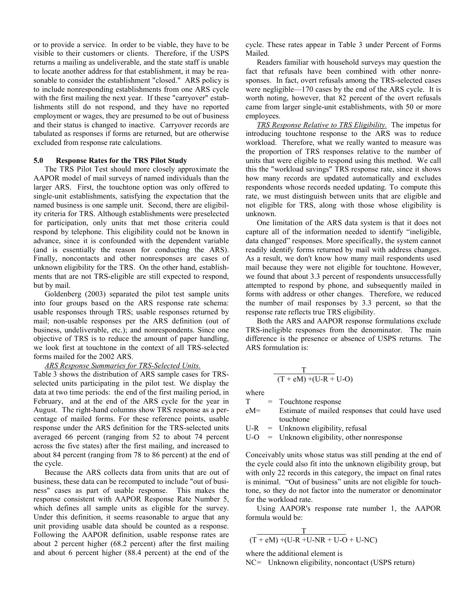or to provide a service. In order to be viable, they have to be visible to their customers or clients. Therefore, if the USPS returns a mailing as undeliverable, and the state staff is unable to locate another address for that establishment, it may be reasonable to consider the establishment "closed." ARS policy is to include nonresponding establishments from one ARS cycle with the first mailing the next year. If these "carryover" establishments still do not respond, and they have no reported employment or wages, they are presumed to be out of business and their status is changed to inactive. Carryover records are tabulated as responses if forms are returned, but are otherwise excluded from response rate calculations.

## **5.0 Response Rates for the TRS Pilot Study**

 The TRS Pilot Test should more closely approximate the AAPOR model of mail surveys of named individuals than the larger ARS. First, the touchtone option was only offered to single-unit establishments, satisfying the expectation that the named business is one sample unit. Second, there are eligibility criteria for TRS. Although establishments were preselected for participation, only units that met those criteria could respond by telephone. This eligibility could not be known in advance, since it is confounded with the dependent variable (and is essentially the reason for conducting the ARS). Finally, noncontacts and other nonresponses are cases of unknown eligibility for the TRS. On the other hand, establishments that are not TRS-eligible are still expected to respond, but by mail.

 Goldenberg (2003) separated the pilot test sample units into four groups based on the ARS response rate schema: usable responses through TRS; usable responses returned by mail; non-usable responses per the ARS definition (out of business, undeliverable, etc.); and nonrespondents. Since one objective of TRS is to reduce the amount of paper handling, we look first at touchtone in the context of all TRS-selected forms mailed for the 2002 ARS.

#### *ARS Response Summaries for TRS-Selected Units.*

Table 3 shows the distribution of ARS sample cases for TRSselected units participating in the pilot test. We display the data at two time periods: the end of the first mailing period, in February, and at the end of the ARS cycle for the year in August. The right-hand columns show TRS response as a percentage of mailed forms. For these reference points, usable response under the ARS definition for the TRS-selected units averaged 66 percent (ranging from 52 to about 74 percent across the five states) after the first mailing, and increased to about 84 percent (ranging from 78 to 86 percent) at the end of the cycle.

 Because the ARS collects data from units that are out of business, these data can be recomputed to include "out of business" cases as part of usable response. This makes the response consistent with AAPOR Response Rate Number 5, which defines all sample units as eligible for the survey. Under this definition, it seems reasonable to argue that any unit providing usable data should be counted as a response. Following the AAPOR definition, usable response rates are about 2 percent higher (68.2 percent) after the first mailing and about 6 percent higher (88.4 percent) at the end of the

cycle. These rates appear in Table 3 under Percent of Forms Mailed.

 Readers familiar with household surveys may question the fact that refusals have been combined with other nonresponses. In fact, overt refusals among the TRS-selected cases were negligible—170 cases by the end of the ARS cycle. It is worth noting, however, that 82 percent of the overt refusals came from larger single-unit establishments, with 50 or more employees.

*TRS Response Relative to TRS Eligibility.* The impetus for introducing touchtone response to the ARS was to reduce workload. Therefore, what we really wanted to measure was the proportion of TRS responses relative to the number of units that were eligible to respond using this method. We call this the "workload savings" TRS response rate, since it shows how many records are updated automatically and excludes respondents whose records needed updating. To compute this rate, we must distinguish between units that are eligible and not eligible for TRS, along with those whose eligibility is unknown.

 One limitation of the ARS data system is that it does not capture all of the information needed to identify "ineligible, data changed" responses. More specifically, the system cannot readily identify forms returned by mail with address changes. As a result, we don't know how many mail respondents used mail because they were not eligible for touchtone. However, we found that about 3.3 percent of respondents unsuccessfully attempted to respond by phone, and subsequently mailed in forms with address or other changes. Therefore, we reduced the number of mail responses by 3.3 percent, so that the response rate reflects true TRS eligibility.

 Both the ARS and AAPOR response formulations exclude TRS-ineligible responses from the denominator. The main difference is the presence or absence of USPS returns. The ARS formulation is:

$$
\frac{T}{(T + eM) + (U-R + U-O)}
$$

where

T = Touchtone response

eM= Estimate of mailed responses that could have used touchtone

 $U-R$  = Unknown eligibility, refusal

 $U-O$  = Unknown eligibility, other nonresponse

Conceivably units whose status was still pending at the end of the cycle could also fit into the unknown eligibility group, but with only 22 records in this category, the impact on final rates is minimal. "Out of business" units are not eligible for touchtone, so they do not factor into the numerator or denominator for the workload rate.

 Using AAPOR's response rate number 1, the AAPOR formula would be:

$$
\frac{T}{(T+eM)+(U-R+U-NR+U-O+U-NC)}
$$

where the additional element is

NC= Unknown eligibility, noncontact (USPS return)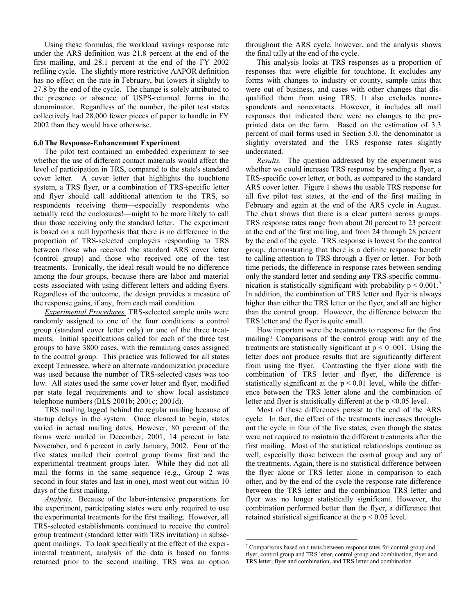Using these formulas, the workload savings response rate under the ARS definition was 21.8 percent at the end of the first mailing, and 28.1 percent at the end of the FY 2002 refiling cycle. The slightly more restrictive AAPOR definition has no effect on the rate in February, but lowers it slightly to 27.8 by the end of the cycle. The change is solely attributed to the presence or absence of USPS-returned forms in the denominator. Regardless of the number, the pilot test states collectively had 28,000 fewer pieces of paper to handle in FY 2002 than they would have otherwise.

## **6.0 The Response-Enhancement Experiment**

 The pilot test contained an embedded experiment to see whether the use of different contact materials would affect the level of participation in TRS, compared to the state's standard cover letter. A cover letter that highlights the touchtone system, a TRS flyer, or a combination of TRS-specific letter and flyer should call additional attention to the TRS, so respondents receiving them—especially respondents who actually read the enclosures!—might to be more likely to call than those receiving only the standard letter. The experiment is based on a null hypothesis that there is no difference in the proportion of TRS-selected employers responding to TRS between those who received the standard ARS cover letter (control group) and those who received one of the test treatments. Ironically, the ideal result would be no difference among the four groups, because there are labor and material costs associated with using different letters and adding flyers. Regardless of the outcome, the design provides a measure of the response gains, if any, from each mail condition.

*Experimental Procedures.* TRS-selected sample units were randomly assigned to one of the four conditions: a control group (standard cover letter only) or one of the three treatments. Initial specifications called for each of the three test groups to have 3800 cases, with the remaining cases assigned to the control group. This practice was followed for all states except Tennessee, where an alternate randomization procedure was used because the number of TRS-selected cases was too low. All states used the same cover letter and flyer, modified per state legal requirements and to show local assistance telephone numbers (BLS 2001b; 2001c; 2001d).

 TRS mailing lagged behind the regular mailing because of startup delays in the system. Once cleared to begin, states varied in actual mailing dates. However, 80 percent of the forms were mailed in December, 2001, 14 percent in late November, and 6 percent in early January, 2002. Four of the five states mailed their control group forms first and the experimental treatment groups later. While they did not all mail the forms in the same sequence (e.g., Group 2 was second in four states and last in one), most went out within 10 days of the first mailing.

*Analysis.* Because of the labor-intensive preparations for the experiment, participating states were only required to use the experimental treatments for the first mailing. However, all TRS-selected establishments continued to receive the control group treatment (standard letter with TRS invitation) in subsequent mailings. To look specifically at the effect of the experimental treatment, analysis of the data is based on forms returned prior to the second mailing. TRS was an option throughout the ARS cycle, however, and the analysis shows the final tally at the end of the cycle.

 This analysis looks at TRS responses as a proportion of responses that were eligible for touchtone. It excludes any forms with changes to industry or county, sample units that were out of business, and cases with other changes that disqualified them from using TRS. It also excludes nonrespondents and noncontacts. However, it includes all mail responses that indicated there were no changes to the preprinted data on the form. Based on the estimation of 3.3 percent of mail forms used in Section 5.0, the denominator is slightly overstated and the TRS response rates slightly understated.

*Results.* The question addressed by the experiment was whether we could increase TRS response by sending a flyer, a TRS-specific cover letter, or both, as compared to the standard ARS cover letter. Figure 1 shows the usable TRS response for all five pilot test states, at the end of the first mailing in February and again at the end of the ARS cycle in August. The chart shows that there is a clear pattern across groups. TRS response rates range from about 20 percent to 23 percent at the end of the first mailing, and from 24 through 28 percent by the end of the cycle. TRS response is lowest for the control group, demonstrating that there is a definite response benefit to calling attention to TRS through a flyer or letter. For both time periods, the difference in response rates between sending only the standard letter and sending *any* TRS-specific communication is statistically significant with probability  $p < 0.001$ .<sup>5</sup> In addition, the combination of TRS letter and flyer is always higher than either the TRS letter or the flyer, and all are higher than the control group. However, the difference between the TRS letter and the flyer is quite small.

 How important were the treatments to response for the first mailing? Comparisons of the control group with any of the treatments are statistically significant at  $p \le 0.001$ . Using the letter does not produce results that are significantly different from using the flyer. Contrasting the flyer alone with the combination of TRS letter and flyer, the difference is statistically significant at the  $p < 0.01$  level, while the difference between the TRS letter alone and the combination of letter and flyer is statistically different at the  $p \le 0.05$  level.

 Most of these differences persist to the end of the ARS cycle. In fact, the effect of the treatments increases throughout the cycle in four of the five states, even though the states were not required to maintain the different treatments after the first mailing. Most of the statistical relationships continue as well, especially those between the control group and any of the treatments. Again, there is no statistical difference between the flyer alone or TRS letter alone in comparison to each other, and by the end of the cycle the response rate difference between the TRS letter and the combination TRS letter and flyer was no longer statistically significant. However, the combination performed better than the flyer, a difference that retained statistical significance at the  $p < 0.05$  level.

<sup>&</sup>lt;sup>5</sup> Comparisons based on t-tests between response rates for control group and flyer, control group and TRS letter, control group and combination, flyer and TRS letter, flyer and combination, and TRS letter and combination.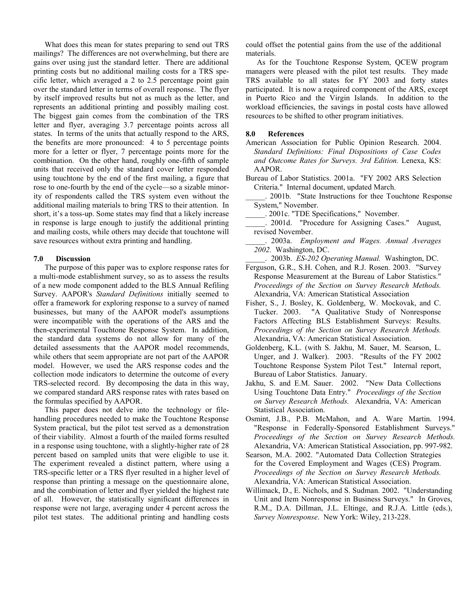What does this mean for states preparing to send out TRS mailings? The differences are not overwhelming, but there are gains over using just the standard letter. There are additional printing costs but no additional mailing costs for a TRS specific letter, which averaged a 2 to 2.5 percentage point gain over the standard letter in terms of overall response. The flyer by itself improved results but not as much as the letter, and represents an additional printing and possibly mailing cost. The biggest gain comes from the combination of the TRS letter and flyer, averaging 3.7 percentage points across all states. In terms of the units that actually respond to the ARS, the benefits are more pronounced: 4 to 5 percentage points more for a letter or flyer, 7 percentage points more for the combination. On the other hand, roughly one-fifth of sample units that received only the standard cover letter responded using touchtone by the end of the first mailing, a figure that rose to one-fourth by the end of the cycle—so a sizable minority of respondents called the TRS system even without the additional mailing materials to bring TRS to their attention. In short, it's a toss-up. Some states may find that a likely increase in response is large enough to justify the additional printing and mailing costs, while others may decide that touchtone will save resources without extra printing and handling.

## **7.0 Discussion**

 The purpose of this paper was to explore response rates for a multi-mode establishment survey, so as to assess the results of a new mode component added to the BLS Annual Refiling Survey. AAPOR's *Standard Definitions* initially seemed to offer a framework for exploring response to a survey of named businesses, but many of the AAPOR model's assumptions were incompatible with the operations of the ARS and the then-experimental Touchtone Response System. In addition, the standard data systems do not allow for many of the detailed assessments that the AAPOR model recommends, while others that seem appropriate are not part of the AAPOR model. However, we used the ARS response codes and the collection mode indicators to determine the outcome of every TRS-selected record. By decomposing the data in this way, we compared standard ARS response rates with rates based on the formulas specified by AAPOR.

 This paper does not delve into the technology or filehandling procedures needed to make the Touchtone Response System practical, but the pilot test served as a demonstration of their viability. Almost a fourth of the mailed forms resulted in a response using touchtone, with a slightly-higher rate of 28 percent based on sampled units that were eligible to use it. The experiment revealed a distinct pattern, where using a TRS-specific letter or a TRS flyer resulted in a higher level of response than printing a message on the questionnaire alone, and the combination of letter and flyer yielded the highest rate of all. However, the statistically significant differences in response were not large, averaging under 4 percent across the pilot test states. The additional printing and handling costs

could offset the potential gains from the use of the additional materials.

 As for the Touchtone Response System, QCEW program managers were pleased with the pilot test results. They made TRS available to all states for FY 2003 and forty states participated. It is now a required component of the ARS, except in Puerto Rico and the Virgin Islands. In addition to the workload efficiencies, the savings in postal costs have allowed resources to be shifted to other program initiatives.

## **8.0 References**

- American Association for Public Opinion Research. 2004. *Standard Definitions: Final Dispositions of Case Codes and Outcome Rates for Surveys. 3rd Edition.* Lenexa, KS: AAPOR.
- Bureau of Labor Statistics. 2001a. "FY 2002 ARS Selection Criteria."Internal document, updated March.
- \_\_\_\_\_. 2001b. "State Instructions for thee Touchtone Response System," November.
- \_\_\_\_\_. 2001c. "TDE Specifications," November.
- \_\_\_\_\_. 2001d. "Procedure for Assigning Cases." August, revised November.
- \_\_\_\_\_. 2003a. *Employment and Wages. Annual Averages 2002.* Washington, DC.
	- \_\_\_\_\_. 2003b. *ES-202 Operating Manual.* Washington, DC.
- Ferguson, G.R., S.H. Cohen, and R.J. Rosen. 2003. "Survey Response Measurement at the Bureau of Labor Statistics." *Proceedings of the Section on Survey Research Methods.*  Alexandria, VA: American Statistical Association
- Fisher, S., J. Bosley, K. Goldenberg, W. Mockovak, and C. Tucker. 2003. "A Qualitative Study of Nonresponse Factors Affecting BLS Establishment Surveys: Results. *Proceedings of the Section on Survey Research Methods.* Alexandria, VA: American Statistical Association.
- Goldenberg, K.L. (with S. Jakhu, M. Sauer, M. Searson, L. Unger, and J. Walker). 2003. "Results of the FY 2002 Touchtone Response System Pilot Test." Internal report, Bureau of Labor Statistics. January.
- Jakhu, S. and E.M. Sauer. 2002. "New Data Collections Using Touchtone Data Entry." *Proceedings of the Section on Survey Research Methods.* Alexandria, VA: American Statistical Association.
- Osmint, J.B., P.B. McMahon, and A. Ware Martin. 1994. "Response in Federally-Sponsored Establishment Surveys." *Proceedings of the Section on Survey Research Methods.* Alexandria, VA: American Statistical Association, pp. 997-982.
- Searson, M.A. 2002. "Automated Data Collection Strategies for the Covered Employment and Wages (CES) Program. *Proceedings of the Section on Survey Research Methods.*  Alexandria, VA: American Statistical Association.
- Willimack, D., E. Nichols, and S. Sudman. 2002. "Understanding Unit and Item Nonresponse in Business Surveys." In Groves, R.M., D.A. Dillman, J.L. Eltinge, and R.J.A. Little (eds.), *Survey Nonresponse*. New York: Wiley, 213-228.